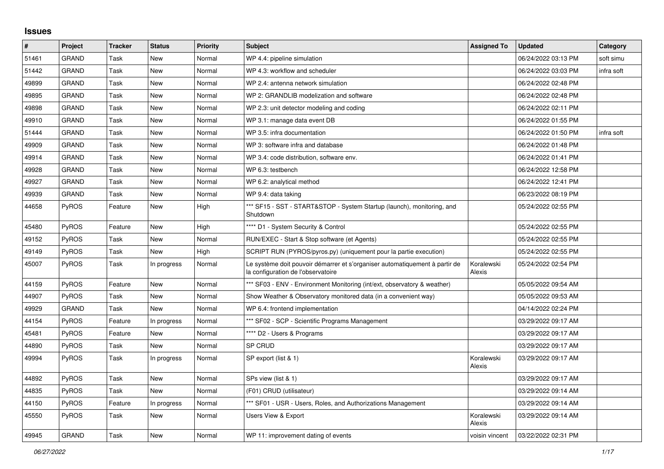## **Issues**

| ∦     | Project      | <b>Tracker</b> | <b>Status</b> | <b>Priority</b> | <b>Subject</b>                                                                                                    | <b>Assigned To</b>   | <b>Updated</b>      | Category   |
|-------|--------------|----------------|---------------|-----------------|-------------------------------------------------------------------------------------------------------------------|----------------------|---------------------|------------|
| 51461 | <b>GRAND</b> | Task           | New           | Normal          | WP 4.4: pipeline simulation                                                                                       |                      | 06/24/2022 03:13 PM | soft simu  |
| 51442 | <b>GRAND</b> | Task           | <b>New</b>    | Normal          | WP 4.3: workflow and scheduler                                                                                    |                      | 06/24/2022 03:03 PM | infra soft |
| 49899 | GRAND        | Task           | New           | Normal          | WP 2.4: antenna network simulation                                                                                |                      | 06/24/2022 02:48 PM |            |
| 49895 | GRAND        | Task           | New           | Normal          | WP 2: GRANDLIB modelization and software                                                                          |                      | 06/24/2022 02:48 PM |            |
| 49898 | <b>GRAND</b> | Task           | <b>New</b>    | Normal          | WP 2.3: unit detector modeling and coding                                                                         |                      | 06/24/2022 02:11 PM |            |
| 49910 | <b>GRAND</b> | Task           | New           | Normal          | WP 3.1: manage data event DB                                                                                      |                      | 06/24/2022 01:55 PM |            |
| 51444 | GRAND        | Task           | New           | Normal          | WP 3.5: infra documentation                                                                                       |                      | 06/24/2022 01:50 PM | infra soft |
| 49909 | GRAND        | Task           | <b>New</b>    | Normal          | WP 3: software infra and database                                                                                 |                      | 06/24/2022 01:48 PM |            |
| 49914 | GRAND        | Task           | New           | Normal          | WP 3.4: code distribution, software env.                                                                          |                      | 06/24/2022 01:41 PM |            |
| 49928 | <b>GRAND</b> | Task           | New           | Normal          | WP 6.3: testbench                                                                                                 |                      | 06/24/2022 12:58 PM |            |
| 49927 | <b>GRAND</b> | Task           | New           | Normal          | WP 6.2: analytical method                                                                                         |                      | 06/24/2022 12:41 PM |            |
| 49939 | GRAND        | Task           | New           | Normal          | WP 9.4: data taking                                                                                               |                      | 06/23/2022 08:19 PM |            |
| 44658 | <b>PyROS</b> | Feature        | New           | High            | *** SF15 - SST - START&STOP - System Startup (launch), monitoring, and<br>Shutdown                                |                      | 05/24/2022 02:55 PM |            |
| 45480 | PyROS        | Feature        | New           | High            | **** D1 - System Security & Control                                                                               |                      | 05/24/2022 02:55 PM |            |
| 49152 | PyROS        | Task           | New           | Normal          | RUN/EXEC - Start & Stop software (et Agents)                                                                      |                      | 05/24/2022 02:55 PM |            |
| 49149 | PyROS        | Task           | New           | High            | SCRIPT RUN (PYROS/pyros.py) (uniquement pour la partie execution)                                                 |                      | 05/24/2022 02:55 PM |            |
| 45007 | <b>PyROS</b> | Task           | In progress   | Normal          | Le système doit pouvoir démarrer et s'organiser automatiquement à partir de<br>la configuration de l'observatoire | Koralewski<br>Alexis | 05/24/2022 02:54 PM |            |
| 44159 | PyROS        | Feature        | <b>New</b>    | Normal          | *** SF03 - ENV - Environment Monitoring (int/ext, observatory & weather)                                          |                      | 05/05/2022 09:54 AM |            |
| 44907 | <b>PyROS</b> | Task           | New           | Normal          | Show Weather & Observatory monitored data (in a convenient way)                                                   |                      | 05/05/2022 09:53 AM |            |
| 49929 | GRAND        | Task           | New           | Normal          | WP 6.4: frontend implementation                                                                                   |                      | 04/14/2022 02:24 PM |            |
| 44154 | PyROS        | Feature        | In progress   | Normal          | *** SF02 - SCP - Scientific Programs Management                                                                   |                      | 03/29/2022 09:17 AM |            |
| 45481 | PyROS        | Feature        | New           | Normal          | **** D2 - Users & Programs                                                                                        |                      | 03/29/2022 09:17 AM |            |
| 44890 | PyROS        | Task           | <b>New</b>    | Normal          | <b>SP CRUD</b>                                                                                                    |                      | 03/29/2022 09:17 AM |            |
| 49994 | <b>PyROS</b> | Task           | In progress   | Normal          | SP export (list & 1)                                                                                              | Koralewski<br>Alexis | 03/29/2022 09:17 AM |            |
| 44892 | <b>PyROS</b> | Task           | New           | Normal          | SPs view (list & 1)                                                                                               |                      | 03/29/2022 09:17 AM |            |
| 44835 | PyROS        | Task           | New           | Normal          | (F01) CRUD (utilisateur)                                                                                          |                      | 03/29/2022 09:14 AM |            |
| 44150 | PyROS        | Feature        | In progress   | Normal          | *** SF01 - USR - Users, Roles, and Authorizations Management                                                      |                      | 03/29/2022 09:14 AM |            |
| 45550 | PyROS        | Task           | New           | Normal          | <b>Users View &amp; Export</b>                                                                                    | Koralewski<br>Alexis | 03/29/2022 09:14 AM |            |
| 49945 | <b>GRAND</b> | Task           | <b>New</b>    | Normal          | WP 11: improvement dating of events                                                                               | voisin vincent       | 03/22/2022 02:31 PM |            |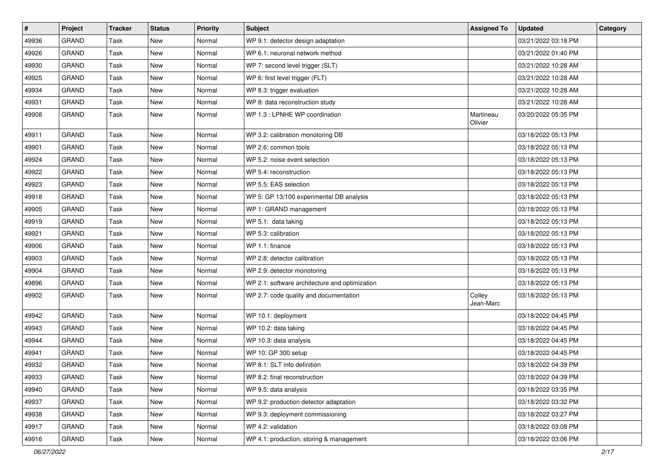| $\vert$ # | Project      | <b>Tracker</b> | <b>Status</b> | <b>Priority</b> | <b>Subject</b>                                 | <b>Assigned To</b>   | <b>Updated</b>      | Category |
|-----------|--------------|----------------|---------------|-----------------|------------------------------------------------|----------------------|---------------------|----------|
| 49936     | <b>GRAND</b> | Task           | New           | Normal          | WP 9.1: detector design adaptation             |                      | 03/21/2022 03:18 PM |          |
| 49926     | <b>GRAND</b> | Task           | New           | Normal          | WP 6.1: neuronal network method                |                      | 03/21/2022 01:40 PM |          |
| 49930     | <b>GRAND</b> | Task           | New           | Normal          | WP 7: second level trigger (SLT)               |                      | 03/21/2022 10:28 AM |          |
| 49925     | <b>GRAND</b> | Task           | New           | Normal          | WP 6: first level trigger (FLT)                |                      | 03/21/2022 10:28 AM |          |
| 49934     | <b>GRAND</b> | Task           | New           | Normal          | WP 8.3: trigger evaluation                     |                      | 03/21/2022 10:28 AM |          |
| 49931     | <b>GRAND</b> | Task           | New           | Normal          | WP 8: data reconstruction study                |                      | 03/21/2022 10:28 AM |          |
| 49908     | <b>GRAND</b> | Task           | New           | Normal          | WP 1.3 : LPNHE WP coordination                 | Martineau<br>Olivier | 03/20/2022 05:35 PM |          |
| 49911     | <b>GRAND</b> | Task           | New           | Normal          | WP 3.2: calibration monotoring DB              |                      | 03/18/2022 05:13 PM |          |
| 49901     | <b>GRAND</b> | Task           | New           | Normal          | WP 2.6: common tools                           |                      | 03/18/2022 05:13 PM |          |
| 49924     | <b>GRAND</b> | Task           | New           | Normal          | WP 5.2: noise event selection                  |                      | 03/18/2022 05:13 PM |          |
| 49922     | <b>GRAND</b> | Task           | New           | Normal          | WP 5.4: reconstruction                         |                      | 03/18/2022 05:13 PM |          |
| 49923     | <b>GRAND</b> | Task           | New           | Normal          | WP 5.5: EAS selection                          |                      | 03/18/2022 05:13 PM |          |
| 49918     | <b>GRAND</b> | Task           | New           | Normal          | WP 5: GP 13/100 experimental DB analysis       |                      | 03/18/2022 05:13 PM |          |
| 49905     | <b>GRAND</b> | Task           | New           | Normal          | WP 1: GRAND management                         |                      | 03/18/2022 05:13 PM |          |
| 49919     | <b>GRAND</b> | Task           | New           | Normal          | WP 5.1: data taking                            |                      | 03/18/2022 05:13 PM |          |
| 49921     | <b>GRAND</b> | Task           | New           | Normal          | WP 5.3: calibration                            |                      | 03/18/2022 05:13 PM |          |
| 49906     | <b>GRAND</b> | Task           | New           | Normal          | WP 1.1: finance                                |                      | 03/18/2022 05:13 PM |          |
| 49903     | <b>GRAND</b> | Task           | New           | Normal          | WP 2.8: detector calibration                   |                      | 03/18/2022 05:13 PM |          |
| 49904     | <b>GRAND</b> | Task           | New           | Normal          | WP 2.9: detector monotoring                    |                      | 03/18/2022 05:13 PM |          |
| 49896     | <b>GRAND</b> | Task           | New           | Normal          | WP 2.1: software architecture and optimization |                      | 03/18/2022 05:13 PM |          |
| 49902     | <b>GRAND</b> | Task           | New           | Normal          | WP 2.7: code quality and documentation         | Colley<br>Jean-Marc  | 03/18/2022 05:13 PM |          |
| 49942     | <b>GRAND</b> | Task           | New           | Normal          | WP 10.1: deployment                            |                      | 03/18/2022 04:45 PM |          |
| 49943     | <b>GRAND</b> | Task           | New           | Normal          | WP 10.2: data taking                           |                      | 03/18/2022 04:45 PM |          |
| 49944     | <b>GRAND</b> | Task           | New           | Normal          | WP 10.3: data analysis                         |                      | 03/18/2022 04:45 PM |          |
| 49941     | <b>GRAND</b> | Task           | New           | Normal          | WP 10: GP 300 setup                            |                      | 03/18/2022 04:45 PM |          |
| 49932     | <b>GRAND</b> | Task           | New           | Normal          | WP 8.1: SLT info definition                    |                      | 03/18/2022 04:39 PM |          |
| 49933     | <b>GRAND</b> | Task           | New           | Normal          | WP 8.2: final reconstruction                   |                      | 03/18/2022 04:39 PM |          |
| 49940     | <b>GRAND</b> | Task           | New           | Normal          | WP 9.5: data analysis                          |                      | 03/18/2022 03:35 PM |          |
| 49937     | GRAND        | Task           | New           | Normal          | WP 9.2: production detector adaptation         |                      | 03/18/2022 03:32 PM |          |
| 49938     | GRAND        | Task           | New           | Normal          | WP 9.3: deployment commissioning               |                      | 03/18/2022 03:27 PM |          |
| 49917     | <b>GRAND</b> | Task           | New           | Normal          | WP 4.2: validation                             |                      | 03/18/2022 03:08 PM |          |
| 49916     | GRAND        | Task           | New           | Normal          | WP 4.1: production, storing & management       |                      | 03/18/2022 03:06 PM |          |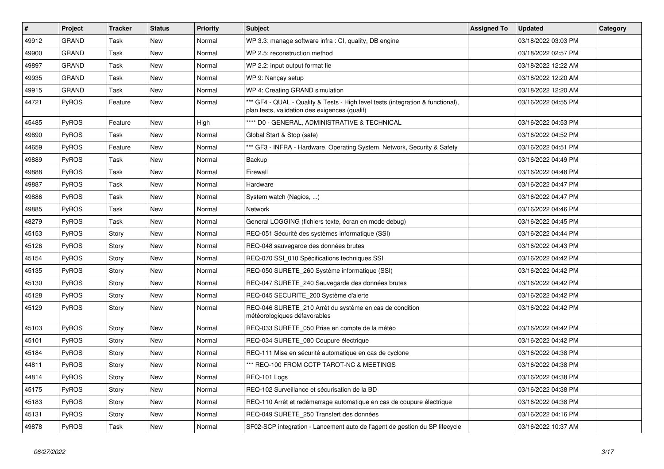| $\sharp$ | Project      | <b>Tracker</b> | <b>Status</b> | Priority | <b>Subject</b>                                                                                                                   | <b>Assigned To</b> | <b>Updated</b>      | Category |
|----------|--------------|----------------|---------------|----------|----------------------------------------------------------------------------------------------------------------------------------|--------------------|---------------------|----------|
| 49912    | <b>GRAND</b> | Task           | New           | Normal   | WP 3.3: manage software infra : CI, quality, DB engine                                                                           |                    | 03/18/2022 03:03 PM |          |
| 49900    | <b>GRAND</b> | Task           | New           | Normal   | WP 2.5: reconstruction method                                                                                                    |                    | 03/18/2022 02:57 PM |          |
| 49897    | <b>GRAND</b> | Task           | New           | Normal   | WP 2.2: input output format fie                                                                                                  |                    | 03/18/2022 12:22 AM |          |
| 49935    | <b>GRAND</b> | Task           | New           | Normal   | WP 9: Nancay setup                                                                                                               |                    | 03/18/2022 12:20 AM |          |
| 49915    | <b>GRAND</b> | Task           | New           | Normal   | WP 4: Creating GRAND simulation                                                                                                  |                    | 03/18/2022 12:20 AM |          |
| 44721    | <b>PyROS</b> | Feature        | New           | Normal   | *** GF4 - QUAL - Quality & Tests - High level tests (integration & functional),<br>plan tests, validation des exigences (qualif) |                    | 03/16/2022 04:55 PM |          |
| 45485    | <b>PyROS</b> | Feature        | <b>New</b>    | High     | **** D0 - GENERAL, ADMINISTRATIVE & TECHNICAL                                                                                    |                    | 03/16/2022 04:53 PM |          |
| 49890    | <b>PyROS</b> | Task           | New           | Normal   | Global Start & Stop (safe)                                                                                                       |                    | 03/16/2022 04:52 PM |          |
| 44659    | PyROS        | Feature        | New           | Normal   | *** GF3 - INFRA - Hardware, Operating System, Network, Security & Safety                                                         |                    | 03/16/2022 04:51 PM |          |
| 49889    | <b>PyROS</b> | Task           | New           | Normal   | Backup                                                                                                                           |                    | 03/16/2022 04:49 PM |          |
| 49888    | PyROS        | Task           | New           | Normal   | Firewall                                                                                                                         |                    | 03/16/2022 04:48 PM |          |
| 49887    | PyROS        | Task           | New           | Normal   | Hardware                                                                                                                         |                    | 03/16/2022 04:47 PM |          |
| 49886    | PyROS        | Task           | New           | Normal   | System watch (Nagios, )                                                                                                          |                    | 03/16/2022 04:47 PM |          |
| 49885    | PyROS        | Task           | New           | Normal   | Network                                                                                                                          |                    | 03/16/2022 04:46 PM |          |
| 48279    | PyROS        | Task           | New           | Normal   | General LOGGING (fichiers texte, écran en mode debug)                                                                            |                    | 03/16/2022 04:45 PM |          |
| 45153    | <b>PyROS</b> | Story          | New           | Normal   | REQ-051 Sécurité des systèmes informatique (SSI)                                                                                 |                    | 03/16/2022 04:44 PM |          |
| 45126    | <b>PyROS</b> | Story          | New           | Normal   | REQ-048 sauvegarde des données brutes                                                                                            |                    | 03/16/2022 04:43 PM |          |
| 45154    | <b>PyROS</b> | Story          | New           | Normal   | REQ-070 SSI 010 Spécifications techniques SSI                                                                                    |                    | 03/16/2022 04:42 PM |          |
| 45135    | <b>PyROS</b> | Story          | New           | Normal   | REQ-050 SURETE 260 Système informatique (SSI)                                                                                    |                    | 03/16/2022 04:42 PM |          |
| 45130    | <b>PyROS</b> | Story          | New           | Normal   | REQ-047 SURETE_240 Sauvegarde des données brutes                                                                                 |                    | 03/16/2022 04:42 PM |          |
| 45128    | PyROS        | Story          | New           | Normal   | REQ-045 SECURITE_200 Système d'alerte                                                                                            |                    | 03/16/2022 04:42 PM |          |
| 45129    | <b>PyROS</b> | Story          | New           | Normal   | REQ-046 SURETE_210 Arrêt du système en cas de condition<br>météorologiques défavorables                                          |                    | 03/16/2022 04:42 PM |          |
| 45103    | <b>PyROS</b> | Story          | New           | Normal   | REQ-033 SURETE_050 Prise en compte de la météo                                                                                   |                    | 03/16/2022 04:42 PM |          |
| 45101    | <b>PyROS</b> | Story          | New           | Normal   | REQ-034 SURETE_080 Coupure électrique                                                                                            |                    | 03/16/2022 04:42 PM |          |
| 45184    | <b>PyROS</b> | Story          | New           | Normal   | REQ-111 Mise en sécurité automatique en cas de cyclone                                                                           |                    | 03/16/2022 04:38 PM |          |
| 44811    | <b>PyROS</b> | Story          | New           | Normal   | *** REQ-100 FROM CCTP TAROT-NC & MEETINGS                                                                                        |                    | 03/16/2022 04:38 PM |          |
| 44814    | PyROS        | Story          | New           | Normal   | REQ-101 Logs                                                                                                                     |                    | 03/16/2022 04:38 PM |          |
| 45175    | PyROS        | Story          | New           | Normal   | REQ-102 Surveillance et sécurisation de la BD                                                                                    |                    | 03/16/2022 04:38 PM |          |
| 45183    | <b>PyROS</b> | Story          | New           | Normal   | REQ-110 Arrêt et redémarrage automatique en cas de coupure électrique                                                            |                    | 03/16/2022 04:38 PM |          |
| 45131    | PyROS        | Story          | New           | Normal   | REQ-049 SURETE_250 Transfert des données                                                                                         |                    | 03/16/2022 04:16 PM |          |
| 49878    | PyROS        | Task           | New           | Normal   | SF02-SCP integration - Lancement auto de l'agent de gestion du SP lifecycle                                                      |                    | 03/16/2022 10:37 AM |          |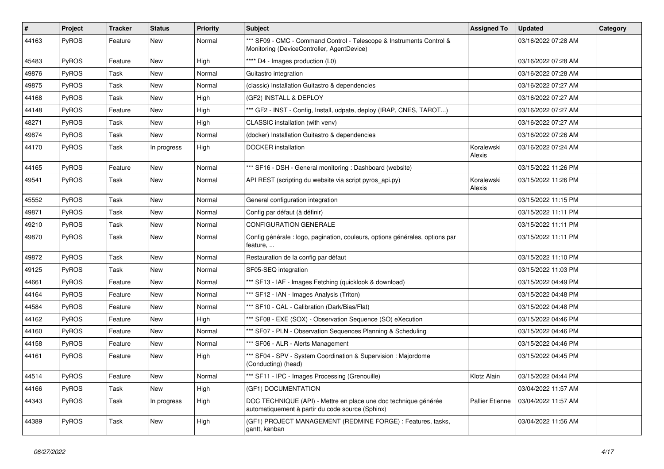| #     | Project | <b>Tracker</b> | <b>Status</b> | <b>Priority</b> | <b>Subject</b>                                                                                                      | <b>Assigned To</b>     | <b>Updated</b>      | Category |
|-------|---------|----------------|---------------|-----------------|---------------------------------------------------------------------------------------------------------------------|------------------------|---------------------|----------|
| 44163 | PyROS   | Feature        | New           | Normal          | *** SF09 - CMC - Command Control - Telescope & Instruments Control &<br>Monitoring (DeviceController, AgentDevice)  |                        | 03/16/2022 07:28 AM |          |
| 45483 | PyROS   | Feature        | New           | High            | **** D4 - Images production (L0)                                                                                    |                        | 03/16/2022 07:28 AM |          |
| 49876 | PyROS   | Task           | New           | Normal          | Guitastro integration                                                                                               |                        | 03/16/2022 07:28 AM |          |
| 49875 | PyROS   | Task           | <b>New</b>    | Normal          | (classic) Installation Guitastro & dependencies                                                                     |                        | 03/16/2022 07:27 AM |          |
| 44168 | PyROS   | Task           | New           | High            | (GF2) INSTALL & DEPLOY                                                                                              |                        | 03/16/2022 07:27 AM |          |
| 44148 | PyROS   | Feature        | <b>New</b>    | High            | *** GF2 - INST - Config, Install, udpate, deploy (IRAP, CNES, TAROT)                                                |                        | 03/16/2022 07:27 AM |          |
| 48271 | PyROS   | Task           | New           | High            | CLASSIC installation (with venv)                                                                                    |                        | 03/16/2022 07:27 AM |          |
| 49874 | PyROS   | Task           | New           | Normal          | (docker) Installation Guitastro & dependencies                                                                      |                        | 03/16/2022 07:26 AM |          |
| 44170 | PyROS   | Task           | In progress   | High            | <b>DOCKER</b> installation                                                                                          | Koralewski<br>Alexis   | 03/16/2022 07:24 AM |          |
| 44165 | PyROS   | Feature        | New           | Normal          | *** SF16 - DSH - General monitoring : Dashboard (website)                                                           |                        | 03/15/2022 11:26 PM |          |
| 49541 | PyROS   | Task           | New           | Normal          | API REST (scripting du website via script pyros_api.py)                                                             | Koralewski<br>Alexis   | 03/15/2022 11:26 PM |          |
| 45552 | PyROS   | Task           | <b>New</b>    | Normal          | General configuration integration                                                                                   |                        | 03/15/2022 11:15 PM |          |
| 49871 | PyROS   | Task           | New           | Normal          | Config par défaut (à définir)                                                                                       |                        | 03/15/2022 11:11 PM |          |
| 49210 | PyROS   | Task           | New           | Normal          | <b>CONFIGURATION GENERALE</b>                                                                                       |                        | 03/15/2022 11:11 PM |          |
| 49870 | PyROS   | Task           | <b>New</b>    | Normal          | Config générale : logo, pagination, couleurs, options générales, options par<br>feature,                            |                        | 03/15/2022 11:11 PM |          |
| 49872 | PyROS   | Task           | New           | Normal          | Restauration de la config par défaut                                                                                |                        | 03/15/2022 11:10 PM |          |
| 49125 | PyROS   | Task           | <b>New</b>    | Normal          | SF05-SEQ integration                                                                                                |                        | 03/15/2022 11:03 PM |          |
| 44661 | PyROS   | Feature        | New           | Normal          | *** SF13 - IAF - Images Fetching (quicklook & download)                                                             |                        | 03/15/2022 04:49 PM |          |
| 44164 | PyROS   | Feature        | <b>New</b>    | Normal          | *** SF12 - IAN - Images Analysis (Triton)                                                                           |                        | 03/15/2022 04:48 PM |          |
| 44584 | PyROS   | Feature        | New           | Normal          | *** SF10 - CAL - Calibration (Dark/Bias/Flat)                                                                       |                        | 03/15/2022 04:48 PM |          |
| 44162 | PyROS   | Feature        | New           | High            | *** SF08 - EXE (SOX) - Observation Sequence (SO) eXecution                                                          |                        | 03/15/2022 04:46 PM |          |
| 44160 | PyROS   | Feature        | <b>New</b>    | Normal          | *** SF07 - PLN - Observation Sequences Planning & Scheduling                                                        |                        | 03/15/2022 04:46 PM |          |
| 44158 | PyROS   | Feature        | New           | Normal          | *** SF06 - ALR - Alerts Management                                                                                  |                        | 03/15/2022 04:46 PM |          |
| 44161 | PyROS   | Feature        | New           | High            | *** SF04 - SPV - System Coordination & Supervision : Majordome<br>(Conducting) (head)                               |                        | 03/15/2022 04:45 PM |          |
| 44514 | PyROS   | Feature        | New           | Normal          | *** SF11 - IPC - Images Processing (Grenouille)                                                                     | Klotz Alain            | 03/15/2022 04:44 PM |          |
| 44166 | PyROS   | Task           | New           | High            | (GF1) DOCUMENTATION                                                                                                 |                        | 03/04/2022 11:57 AM |          |
| 44343 | PyROS   | Task           | In progress   | High            | DOC TECHNIQUE (API) - Mettre en place une doc technique générée<br>automatiquement à partir du code source (Sphinx) | <b>Pallier Etienne</b> | 03/04/2022 11:57 AM |          |
| 44389 | PyROS   | Task           | New           | High            | (GF1) PROJECT MANAGEMENT (REDMINE FORGE) : Features, tasks,<br>gantt, kanban                                        |                        | 03/04/2022 11:56 AM |          |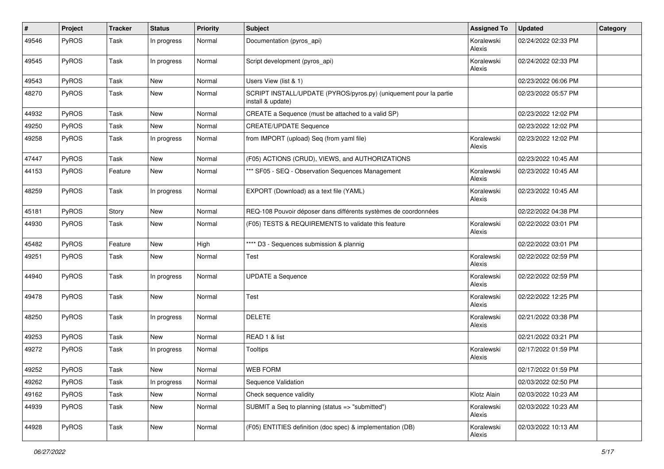| $\vert$ # | Project | <b>Tracker</b> | <b>Status</b> | <b>Priority</b> | Subject                                                                                | <b>Assigned To</b>   | <b>Updated</b>      | Category |
|-----------|---------|----------------|---------------|-----------------|----------------------------------------------------------------------------------------|----------------------|---------------------|----------|
| 49546     | PyROS   | Task           | In progress   | Normal          | Documentation (pyros_api)                                                              | Koralewski<br>Alexis | 02/24/2022 02:33 PM |          |
| 49545     | PyROS   | Task           | In progress   | Normal          | Script development (pyros_api)                                                         | Koralewski<br>Alexis | 02/24/2022 02:33 PM |          |
| 49543     | PyROS   | Task           | New           | Normal          | Users View (list & 1)                                                                  |                      | 02/23/2022 06:06 PM |          |
| 48270     | PyROS   | Task           | New           | Normal          | SCRIPT INSTALL/UPDATE (PYROS/pyros.py) (uniquement pour la partie<br>install & update) |                      | 02/23/2022 05:57 PM |          |
| 44932     | PyROS   | Task           | New           | Normal          | CREATE a Sequence (must be attached to a valid SP)                                     |                      | 02/23/2022 12:02 PM |          |
| 49250     | PyROS   | Task           | New           | Normal          | <b>CREATE/UPDATE Sequence</b>                                                          |                      | 02/23/2022 12:02 PM |          |
| 49258     | PyROS   | Task           | In progress   | Normal          | from IMPORT (upload) Seq (from yaml file)                                              | Koralewski<br>Alexis | 02/23/2022 12:02 PM |          |
| 47447     | PyROS   | Task           | New           | Normal          | (F05) ACTIONS (CRUD), VIEWS, and AUTHORIZATIONS                                        |                      | 02/23/2022 10:45 AM |          |
| 44153     | PyROS   | Feature        | New           | Normal          | *** SF05 - SEQ - Observation Sequences Management                                      | Koralewski<br>Alexis | 02/23/2022 10:45 AM |          |
| 48259     | PyROS   | Task           | In progress   | Normal          | EXPORT (Download) as a text file (YAML)                                                | Koralewski<br>Alexis | 02/23/2022 10:45 AM |          |
| 45181     | PyROS   | Story          | New           | Normal          | REQ-108 Pouvoir déposer dans différents systèmes de coordonnées                        |                      | 02/22/2022 04:38 PM |          |
| 44930     | PyROS   | Task           | New           | Normal          | (F05) TESTS & REQUIREMENTS to validate this feature                                    | Koralewski<br>Alexis | 02/22/2022 03:01 PM |          |
| 45482     | PyROS   | Feature        | New           | High            | **** D3 - Sequences submission & plannig                                               |                      | 02/22/2022 03:01 PM |          |
| 49251     | PyROS   | Task           | New           | Normal          | Test                                                                                   | Koralewski<br>Alexis | 02/22/2022 02:59 PM |          |
| 44940     | PyROS   | Task           | In progress   | Normal          | <b>UPDATE a Sequence</b>                                                               | Koralewski<br>Alexis | 02/22/2022 02:59 PM |          |
| 49478     | PyROS   | Task           | New           | Normal          | Test                                                                                   | Koralewski<br>Alexis | 02/22/2022 12:25 PM |          |
| 48250     | PyROS   | Task           | In progress   | Normal          | <b>DELETE</b>                                                                          | Koralewski<br>Alexis | 02/21/2022 03:38 PM |          |
| 49253     | PyROS   | Task           | New           | Normal          | READ 1 & list                                                                          |                      | 02/21/2022 03:21 PM |          |
| 49272     | PyROS   | Task           | In progress   | Normal          | <b>Tooltips</b>                                                                        | Koralewski<br>Alexis | 02/17/2022 01:59 PM |          |
| 49252     | PyROS   | Task           | New           | Normal          | <b>WEB FORM</b>                                                                        |                      | 02/17/2022 01:59 PM |          |
| 49262     | PyROS   | Task           | In progress   | Normal          | Sequence Validation                                                                    |                      | 02/03/2022 02:50 PM |          |
| 49162     | PyROS   | Task           | New           | Normal          | Check sequence validity                                                                | Klotz Alain          | 02/03/2022 10:23 AM |          |
| 44939     | PyROS   | Task           | New           | Normal          | SUBMIT a Seq to planning (status => "submitted")                                       | Koralewski<br>Alexis | 02/03/2022 10:23 AM |          |
| 44928     | PyROS   | Task           | New           | Normal          | (F05) ENTITIES definition (doc spec) & implementation (DB)                             | Koralewski<br>Alexis | 02/03/2022 10:13 AM |          |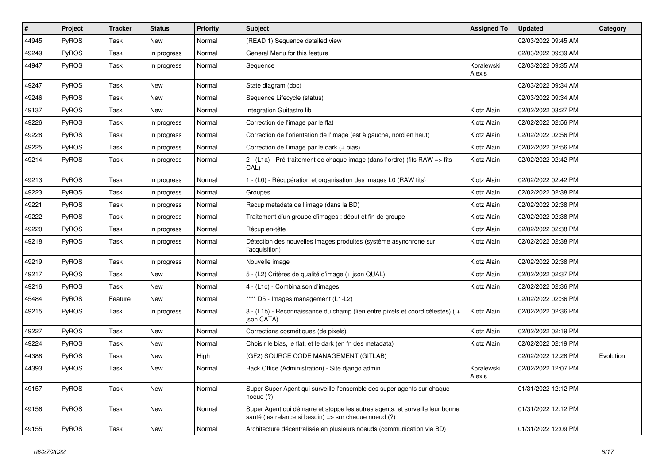| #     | Project | <b>Tracker</b> | <b>Status</b> | <b>Priority</b> | <b>Subject</b>                                                                                                                        | <b>Assigned To</b>   | <b>Updated</b>      | Category  |
|-------|---------|----------------|---------------|-----------------|---------------------------------------------------------------------------------------------------------------------------------------|----------------------|---------------------|-----------|
| 44945 | PyROS   | Task           | New           | Normal          | (READ 1) Sequence detailed view                                                                                                       |                      | 02/03/2022 09:45 AM |           |
| 49249 | PyROS   | Task           | In progress   | Normal          | General Menu for this feature                                                                                                         |                      | 02/03/2022 09:39 AM |           |
| 44947 | PyROS   | Task           | In progress   | Normal          | Sequence                                                                                                                              | Koralewski<br>Alexis | 02/03/2022 09:35 AM |           |
| 49247 | PyROS   | Task           | New           | Normal          | State diagram (doc)                                                                                                                   |                      | 02/03/2022 09:34 AM |           |
| 49246 | PyROS   | Task           | New           | Normal          | Sequence Lifecycle (status)                                                                                                           |                      | 02/03/2022 09:34 AM |           |
| 49137 | PyROS   | Task           | New           | Normal          | Integration Guitastro lib                                                                                                             | Klotz Alain          | 02/02/2022 03:27 PM |           |
| 49226 | PyROS   | Task           | In progress   | Normal          | Correction de l'image par le flat                                                                                                     | Klotz Alain          | 02/02/2022 02:56 PM |           |
| 49228 | PyROS   | Task           | In progress   | Normal          | Correction de l'orientation de l'image (est à gauche, nord en haut)                                                                   | Klotz Alain          | 02/02/2022 02:56 PM |           |
| 49225 | PyROS   | Task           | In progress   | Normal          | Correction de l'image par le dark (+ bias)                                                                                            | Klotz Alain          | 02/02/2022 02:56 PM |           |
| 49214 | PyROS   | Task           | In progress   | Normal          | 2 - (L1a) - Pré-traitement de chaque image (dans l'ordre) (fits RAW => fits<br>CAL)                                                   | Klotz Alain          | 02/02/2022 02:42 PM |           |
| 49213 | PyROS   | Task           | In progress   | Normal          | 1 - (L0) - Récupération et organisation des images L0 (RAW fits)                                                                      | Klotz Alain          | 02/02/2022 02:42 PM |           |
| 49223 | PyROS   | Task           | In progress   | Normal          | Groupes                                                                                                                               | Klotz Alain          | 02/02/2022 02:38 PM |           |
| 49221 | PyROS   | Task           | In progress   | Normal          | Recup metadata de l'image (dans la BD)                                                                                                | Klotz Alain          | 02/02/2022 02:38 PM |           |
| 49222 | PyROS   | Task           | In progress   | Normal          | Traitement d'un groupe d'images : début et fin de groupe                                                                              | Klotz Alain          | 02/02/2022 02:38 PM |           |
| 49220 | PyROS   | Task           | In progress   | Normal          | Récup en-tête                                                                                                                         | Klotz Alain          | 02/02/2022 02:38 PM |           |
| 49218 | PyROS   | Task           | In progress   | Normal          | Détection des nouvelles images produites (système asynchrone sur<br>l'acquisition)                                                    | Klotz Alain          | 02/02/2022 02:38 PM |           |
| 49219 | PyROS   | Task           | In progress   | Normal          | Nouvelle image                                                                                                                        | Klotz Alain          | 02/02/2022 02:38 PM |           |
| 49217 | PyROS   | Task           | New           | Normal          | 5 - (L2) Critères de qualité d'image (+ json QUAL)                                                                                    | Klotz Alain          | 02/02/2022 02:37 PM |           |
| 49216 | PyROS   | Task           | New           | Normal          | 4 - (L1c) - Combinaison d'images                                                                                                      | Klotz Alain          | 02/02/2022 02:36 PM |           |
| 45484 | PyROS   | Feature        | New           | Normal          | **** D5 - Images management (L1-L2)                                                                                                   |                      | 02/02/2022 02:36 PM |           |
| 49215 | PyROS   | Task           | In progress   | Normal          | 3 - (L1b) - Reconnaissance du champ (lien entre pixels et coord célestes) (+<br>json CATA)                                            | Klotz Alain          | 02/02/2022 02:36 PM |           |
| 49227 | PyROS   | Task           | New           | Normal          | Corrections cosmétiques (de pixels)                                                                                                   | Klotz Alain          | 02/02/2022 02:19 PM |           |
| 49224 | PyROS   | Task           | New           | Normal          | Choisir le bias, le flat, et le dark (en fn des metadata)                                                                             | Klotz Alain          | 02/02/2022 02:19 PM |           |
| 44388 | PyROS   | Task           | New           | High            | (GF2) SOURCE CODE MANAGEMENT (GITLAB)                                                                                                 |                      | 02/02/2022 12:28 PM | Evolution |
| 44393 | PyROS   | Task           | New           | Normal          | Back Office (Administration) - Site django admin                                                                                      | Koralewski<br>Alexis | 02/02/2022 12:07 PM |           |
| 49157 | PyROS   | Task           | New           | Normal          | Super Super Agent qui surveille l'ensemble des super agents sur chaque<br>noeud (?)                                                   |                      | 01/31/2022 12:12 PM |           |
| 49156 | PyROS   | Task           | New           | Normal          | Super Agent qui démarre et stoppe les autres agents, et surveille leur bonne<br>santé (les relance si besoin) => sur chaque noeud (?) |                      | 01/31/2022 12:12 PM |           |
| 49155 | PyROS   | Task           | New           | Normal          | Architecture décentralisée en plusieurs noeuds (communication via BD)                                                                 |                      | 01/31/2022 12:09 PM |           |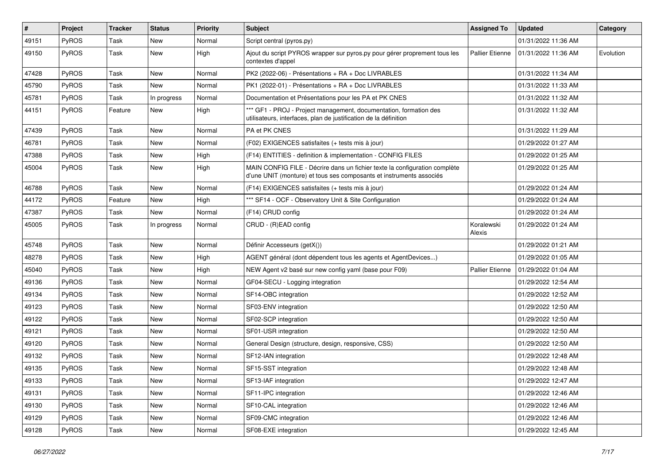| $\vert$ # | Project      | Tracker | <b>Status</b> | <b>Priority</b> | <b>Subject</b>                                                                                                                                    | <b>Assigned To</b>     | <b>Updated</b>      | Category  |
|-----------|--------------|---------|---------------|-----------------|---------------------------------------------------------------------------------------------------------------------------------------------------|------------------------|---------------------|-----------|
| 49151     | PyROS        | Task    | New           | Normal          | Script central (pyros.py)                                                                                                                         |                        | 01/31/2022 11:36 AM |           |
| 49150     | <b>PyROS</b> | Task    | New           | High            | Ajout du script PYROS wrapper sur pyros.py pour gérer proprement tous les<br>contextes d'appel                                                    | <b>Pallier Etienne</b> | 01/31/2022 11:36 AM | Evolution |
| 47428     | PyROS        | Task    | New           | Normal          | PK2 (2022-06) - Présentations + RA + Doc LIVRABLES                                                                                                |                        | 01/31/2022 11:34 AM |           |
| 45790     | PyROS        | Task    | New           | Normal          | PK1 (2022-01) - Présentations + RA + Doc LIVRABLES                                                                                                |                        | 01/31/2022 11:33 AM |           |
| 45781     | PyROS        | Task    | In progress   | Normal          | Documentation et Présentations pour les PA et PK CNES                                                                                             |                        | 01/31/2022 11:32 AM |           |
| 44151     | PyROS        | Feature | New           | High            | *** GF1 - PROJ - Project management, documentation, formation des<br>utilisateurs, interfaces, plan de justification de la définition             |                        | 01/31/2022 11:32 AM |           |
| 47439     | PyROS        | Task    | New           | Normal          | PA et PK CNES                                                                                                                                     |                        | 01/31/2022 11:29 AM |           |
| 46781     | PyROS        | Task    | New           | Normal          | (F02) EXIGENCES satisfaites (+ tests mis à jour)                                                                                                  |                        | 01/29/2022 01:27 AM |           |
| 47388     | <b>PyROS</b> | Task    | New           | High            | (F14) ENTITIES - definition & implementation - CONFIG FILES                                                                                       |                        | 01/29/2022 01:25 AM |           |
| 45004     | PyROS        | Task    | New           | High            | MAIN CONFIG FILE - Décrire dans un fichier texte la configuration complète<br>d'une UNIT (monture) et tous ses composants et instruments associés |                        | 01/29/2022 01:25 AM |           |
| 46788     | PyROS        | Task    | New           | Normal          | (F14) EXIGENCES satisfaites (+ tests mis à jour)                                                                                                  |                        | 01/29/2022 01:24 AM |           |
| 44172     | PyROS        | Feature | New           | High            | *** SF14 - OCF - Observatory Unit & Site Configuration                                                                                            |                        | 01/29/2022 01:24 AM |           |
| 47387     | PyROS        | Task    | New           | Normal          | (F14) CRUD config                                                                                                                                 |                        | 01/29/2022 01:24 AM |           |
| 45005     | PyROS        | Task    | In progress   | Normal          | CRUD - (R)EAD config                                                                                                                              | Koralewski<br>Alexis   | 01/29/2022 01:24 AM |           |
| 45748     | PyROS        | Task    | New           | Normal          | Définir Accesseurs (getX())                                                                                                                       |                        | 01/29/2022 01:21 AM |           |
| 48278     | PyROS        | Task    | New           | High            | AGENT général (dont dépendent tous les agents et AgentDevices)                                                                                    |                        | 01/29/2022 01:05 AM |           |
| 45040     | PyROS        | Task    | New           | High            | NEW Agent v2 basé sur new config yaml (base pour F09)                                                                                             | <b>Pallier Etienne</b> | 01/29/2022 01:04 AM |           |
| 49136     | PyROS        | Task    | New           | Normal          | GF04-SECU - Logging integration                                                                                                                   |                        | 01/29/2022 12:54 AM |           |
| 49134     | PyROS        | Task    | New           | Normal          | SF14-OBC integration                                                                                                                              |                        | 01/29/2022 12:52 AM |           |
| 49123     | PyROS        | Task    | New           | Normal          | SF03-ENV integration                                                                                                                              |                        | 01/29/2022 12:50 AM |           |
| 49122     | PyROS        | Task    | New           | Normal          | SF02-SCP integration                                                                                                                              |                        | 01/29/2022 12:50 AM |           |
| 49121     | PyROS        | Task    | New           | Normal          | SF01-USR integration                                                                                                                              |                        | 01/29/2022 12:50 AM |           |
| 49120     | PyROS        | Task    | New           | Normal          | General Design (structure, design, responsive, CSS)                                                                                               |                        | 01/29/2022 12:50 AM |           |
| 49132     | PyROS        | Task    | New           | Normal          | SF12-IAN integration                                                                                                                              |                        | 01/29/2022 12:48 AM |           |
| 49135     | PyROS        | Task    | New           | Normal          | SF15-SST integration                                                                                                                              |                        | 01/29/2022 12:48 AM |           |
| 49133     | PyROS        | Task    | New           | Normal          | SF13-IAF integration                                                                                                                              |                        | 01/29/2022 12:47 AM |           |
| 49131     | PyROS        | Task    | New           | Normal          | SF11-IPC integration                                                                                                                              |                        | 01/29/2022 12:46 AM |           |
| 49130     | PyROS        | Task    | New           | Normal          | SF10-CAL integration                                                                                                                              |                        | 01/29/2022 12:46 AM |           |
| 49129     | PyROS        | Task    | New           | Normal          | SF09-CMC integration                                                                                                                              |                        | 01/29/2022 12:46 AM |           |
| 49128     | PyROS        | Task    | New           | Normal          | SF08-EXE integration                                                                                                                              |                        | 01/29/2022 12:45 AM |           |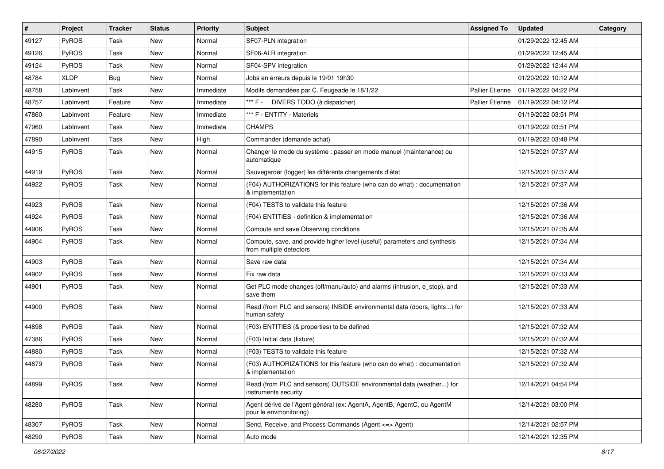| $\#$  | Project      | <b>Tracker</b> | <b>Status</b> | <b>Priority</b> | <b>Subject</b>                                                                                       | <b>Assigned To</b>     | <b>Updated</b>      | Category |
|-------|--------------|----------------|---------------|-----------------|------------------------------------------------------------------------------------------------------|------------------------|---------------------|----------|
| 49127 | PyROS        | Task           | <b>New</b>    | Normal          | SF07-PLN integration                                                                                 |                        | 01/29/2022 12:45 AM |          |
| 49126 | PyROS        | Task           | <b>New</b>    | Normal          | SF06-ALR integration                                                                                 |                        | 01/29/2022 12:45 AM |          |
| 49124 | PyROS        | Task           | New           | Normal          | SF04-SPV integration                                                                                 |                        | 01/29/2022 12:44 AM |          |
| 48784 | <b>XLDP</b>  | Bug            | New           | Normal          | Jobs en erreurs depuis le 19/01 19h30                                                                |                        | 01/20/2022 10:12 AM |          |
| 48758 | LabInvent    | Task           | <b>New</b>    | Immediate       | Modifs demandées par C. Feugeade le 18/1/22                                                          | <b>Pallier Etienne</b> | 01/19/2022 04:22 PM |          |
| 48757 | LabInvent    | Feature        | New           | Immediate       | *** F - DIVERS TODO (à dispatcher)                                                                   | <b>Pallier Etienne</b> | 01/19/2022 04:12 PM |          |
| 47860 | LabInvent    | Feature        | <b>New</b>    | Immediate       | *** F - ENTITY - Materiels                                                                           |                        | 01/19/2022 03:51 PM |          |
| 47960 | LabInvent    | Task           | New           | Immediate       | <b>CHAMPS</b>                                                                                        |                        | 01/19/2022 03:51 PM |          |
| 47890 | LabInvent    | Task           | New           | High            | Commander (demande achat)                                                                            |                        | 01/19/2022 03:48 PM |          |
| 44915 | PyROS        | Task           | <b>New</b>    | Normal          | Changer le mode du système : passer en mode manuel (maintenance) ou<br>automatique                   |                        | 12/15/2021 07:37 AM |          |
| 44919 | PyROS        | Task           | <b>New</b>    | Normal          | Sauvegarder (logger) les différents changements d'état                                               |                        | 12/15/2021 07:37 AM |          |
| 44922 | PyROS        | Task           | New           | Normal          | (F04) AUTHORIZATIONS for this feature (who can do what) : documentation<br>& implementation          |                        | 12/15/2021 07:37 AM |          |
| 44923 | PyROS        | Task           | <b>New</b>    | Normal          | (F04) TESTS to validate this feature                                                                 |                        | 12/15/2021 07:36 AM |          |
| 44924 | PyROS        | Task           | New           | Normal          | (F04) ENTITIES - definition & implementation                                                         |                        | 12/15/2021 07:36 AM |          |
| 44906 | PyROS        | Task           | New           | Normal          | Compute and save Observing conditions                                                                |                        | 12/15/2021 07:35 AM |          |
| 44904 | PyROS        | Task           | <b>New</b>    | Normal          | Compute, save, and provide higher level (useful) parameters and synthesis<br>from multiple detectors |                        | 12/15/2021 07:34 AM |          |
| 44903 | PyROS        | Task           | <b>New</b>    | Normal          | Save raw data                                                                                        |                        | 12/15/2021 07:34 AM |          |
| 44902 | PyROS        | Task           | New           | Normal          | Fix raw data                                                                                         |                        | 12/15/2021 07:33 AM |          |
| 44901 | PyROS        | Task           | New           | Normal          | Get PLC mode changes (off/manu/auto) and alarms (intrusion, e_stop), and<br>save them                |                        | 12/15/2021 07:33 AM |          |
| 44900 | PyROS        | Task           | <b>New</b>    | Normal          | Read (from PLC and sensors) INSIDE environmental data (doors, lights) for<br>human safety            |                        | 12/15/2021 07:33 AM |          |
| 44898 | PyROS        | Task           | New           | Normal          | (F03) ENTITIES (& properties) to be defined                                                          |                        | 12/15/2021 07:32 AM |          |
| 47386 | <b>PyROS</b> | Task           | New           | Normal          | (F03) Initial data (fixture)                                                                         |                        | 12/15/2021 07:32 AM |          |
| 44880 | PyROS        | Task           | New           | Normal          | (F03) TESTS to validate this feature                                                                 |                        | 12/15/2021 07:32 AM |          |
| 44879 | <b>PyROS</b> | Task           | <b>New</b>    | Normal          | (F03) AUTHORIZATIONS for this feature (who can do what) : documentation<br>& implementation          |                        | 12/15/2021 07:32 AM |          |
| 44899 | PyROS        | Task           | New           | Normal          | Read (from PLC and sensors) OUTSIDE environmental data (weather) for<br>instruments security         |                        | 12/14/2021 04:54 PM |          |
| 48280 | PyROS        | Task           | New           | Normal          | Agent dérivé de l'Agent général (ex: AgentA, AgentB, AgentC, ou AgentM<br>pour le envmonitoring)     |                        | 12/14/2021 03:00 PM |          |
| 48307 | PyROS        | Task           | New           | Normal          | Send, Receive, and Process Commands (Agent <= > Agent)                                               |                        | 12/14/2021 02:57 PM |          |
| 48290 | PyROS        | Task           | New           | Normal          | Auto mode                                                                                            |                        | 12/14/2021 12:35 PM |          |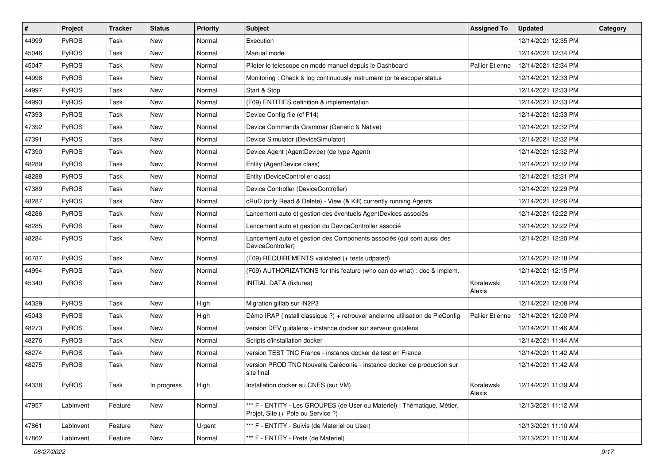| #     | Project      | Tracker | <b>Status</b> | <b>Priority</b> | <b>Subject</b>                                                                                                 | <b>Assigned To</b>     | <b>Updated</b>      | Category |
|-------|--------------|---------|---------------|-----------------|----------------------------------------------------------------------------------------------------------------|------------------------|---------------------|----------|
| 44999 | PyROS        | Task    | New           | Normal          | Execution                                                                                                      |                        | 12/14/2021 12:35 PM |          |
| 45046 | PyROS        | Task    | New           | Normal          | Manual mode                                                                                                    |                        | 12/14/2021 12:34 PM |          |
| 45047 | <b>PyROS</b> | Task    | New           | Normal          | Piloter le telescope en mode manuel depuis le Dashboard                                                        | <b>Pallier Etienne</b> | 12/14/2021 12:34 PM |          |
| 44998 | PyROS        | Task    | New           | Normal          | Monitoring: Check & log continuously instrument (or telescope) status                                          |                        | 12/14/2021 12:33 PM |          |
| 44997 | PyROS        | Task    | New           | Normal          | Start & Stop                                                                                                   |                        | 12/14/2021 12:33 PM |          |
| 44993 | PyROS        | Task    | New           | Normal          | (F09) ENTITIES definition & implementation                                                                     |                        | 12/14/2021 12:33 PM |          |
| 47393 | PyROS        | Task    | New           | Normal          | Device Config file (cf F14)                                                                                    |                        | 12/14/2021 12:33 PM |          |
| 47392 | <b>PyROS</b> | Task    | New           | Normal          | Device Commands Grammar (Generic & Native)                                                                     |                        | 12/14/2021 12:32 PM |          |
| 47391 | PyROS        | Task    | New           | Normal          | Device Simulator (DeviceSimulator)                                                                             |                        | 12/14/2021 12:32 PM |          |
| 47390 | PyROS        | Task    | New           | Normal          | Device Agent (AgentDevice) (de type Agent)                                                                     |                        | 12/14/2021 12:32 PM |          |
| 48289 | PyROS        | Task    | New           | Normal          | Entity (AgentDevice class)                                                                                     |                        | 12/14/2021 12:32 PM |          |
| 48288 | PyROS        | Task    | New           | Normal          | Entity (DeviceController class)                                                                                |                        | 12/14/2021 12:31 PM |          |
| 47389 | PyROS        | Task    | New           | Normal          | Device Controller (DeviceController)                                                                           |                        | 12/14/2021 12:29 PM |          |
| 48287 | PyROS        | Task    | New           | Normal          | cRuD (only Read & Delete) - View (& Kill) currently running Agents                                             |                        | 12/14/2021 12:26 PM |          |
| 48286 | PyROS        | Task    | New           | Normal          | Lancement auto et gestion des éventuels AgentDevices associés                                                  |                        | 12/14/2021 12:22 PM |          |
| 48285 | <b>PyROS</b> | Task    | New           | Normal          | Lancement auto et gestion du DeviceController associé                                                          |                        | 12/14/2021 12:22 PM |          |
| 48284 | PyROS        | Task    | New           | Normal          | Lancement auto et gestion des Components associés (qui sont aussi des<br>DeviceController)                     |                        | 12/14/2021 12:20 PM |          |
| 46787 | PyROS        | Task    | New           | Normal          | (F09) REQUIREMENTS validated (+ tests udpated)                                                                 |                        | 12/14/2021 12:18 PM |          |
| 44994 | PyROS        | Task    | New           | Normal          | (F09) AUTHORIZATIONS for this feature (who can do what) : doc & implem.                                        |                        | 12/14/2021 12:15 PM |          |
| 45340 | PyROS        | Task    | New           | Normal          | <b>INITIAL DATA (fixtures)</b>                                                                                 | Koralewski<br>Alexis   | 12/14/2021 12:09 PM |          |
| 44329 | PyROS        | Task    | New           | High            | Migration gitlab sur IN2P3                                                                                     |                        | 12/14/2021 12:08 PM |          |
| 45043 | <b>PyROS</b> | Task    | New           | High            | Démo IRAP (install classique ?) + retrouver ancienne utilisation de PlcConfig                                  | <b>Pallier Etienne</b> | 12/14/2021 12:00 PM |          |
| 48273 | PyROS        | Task    | New           | Normal          | version DEV guitalens - instance docker sur serveur guitalens                                                  |                        | 12/14/2021 11:46 AM |          |
| 48276 | PyROS        | Task    | New           | Normal          | Scripts d'installation docker                                                                                  |                        | 12/14/2021 11:44 AM |          |
| 48274 | PyROS        | Task    | New           | Normal          | version TEST TNC France - instance docker de test en France                                                    |                        | 12/14/2021 11:42 AM |          |
| 48275 | PyROS        | Task    | New           | Normal          | version PROD TNC Nouvelle Calédonie - instance docker de production sur<br>site final                          |                        | 12/14/2021 11:42 AM |          |
| 44338 | PyROS        | Task    | In progress   | High            | Installation docker au CNES (sur VM)                                                                           | Koralewski<br>Alexis   | 12/14/2021 11:39 AM |          |
| 47957 | LabInvent    | Feature | New           | Normal          | *** F - ENTITY - Les GROUPES (de User ou Materiel) : Thématique, Métier,<br>Projet, Site (+ Pole ou Service ?) |                        | 12/13/2021 11:12 AM |          |
| 47861 | LabInvent    | Feature | New           | Urgent          | *** F - ENTITY - Suivis (de Materiel ou User)                                                                  |                        | 12/13/2021 11:10 AM |          |
| 47862 | LabInvent    | Feature | New           | Normal          | *** F - ENTITY - Prets (de Materiel)                                                                           |                        | 12/13/2021 11:10 AM |          |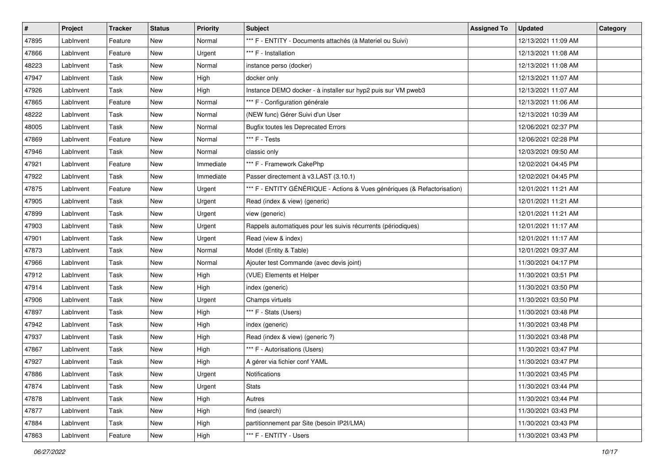| $\vert$ # | Project   | Tracker | <b>Status</b> | <b>Priority</b> | <b>Subject</b>                                                           | <b>Assigned To</b> | <b>Updated</b>      | Category |
|-----------|-----------|---------|---------------|-----------------|--------------------------------------------------------------------------|--------------------|---------------------|----------|
| 47895     | LabInvent | Feature | New           | Normal          | *** F - ENTITY - Documents attachés (à Materiel ou Suivi)                |                    | 12/13/2021 11:09 AM |          |
| 47866     | LabInvent | Feature | New           | Urgent          | *** F - Installation                                                     |                    | 12/13/2021 11:08 AM |          |
| 48223     | LabInvent | Task    | New           | Normal          | instance perso (docker)                                                  |                    | 12/13/2021 11:08 AM |          |
| 47947     | LabInvent | Task    | New           | High            | docker only                                                              |                    | 12/13/2021 11:07 AM |          |
| 47926     | LabInvent | Task    | New           | High            | Instance DEMO docker - à installer sur hyp2 puis sur VM pweb3            |                    | 12/13/2021 11:07 AM |          |
| 47865     | LabInvent | Feature | New           | Normal          | *** F - Configuration générale                                           |                    | 12/13/2021 11:06 AM |          |
| 48222     | LabInvent | Task    | New           | Normal          | (NEW func) Gérer Suivi d'un User                                         |                    | 12/13/2021 10:39 AM |          |
| 48005     | LabInvent | Task    | New           | Normal          | <b>Bugfix toutes les Deprecated Errors</b>                               |                    | 12/06/2021 02:37 PM |          |
| 47869     | LabInvent | Feature | New           | Normal          | *** F - Tests                                                            |                    | 12/06/2021 02:28 PM |          |
| 47946     | LabInvent | Task    | New           | Normal          | classic only                                                             |                    | 12/03/2021 09:50 AM |          |
| 47921     | LabInvent | Feature | New           | Immediate       | *** F - Framework CakePhp                                                |                    | 12/02/2021 04:45 PM |          |
| 47922     | LabInvent | Task    | New           | Immediate       | Passer directement à v3.LAST (3.10.1)                                    |                    | 12/02/2021 04:45 PM |          |
| 47875     | LabInvent | Feature | New           | Urgent          | *** F - ENTITY GÉNÉRIQUE - Actions & Vues génériques (& Refactorisation) |                    | 12/01/2021 11:21 AM |          |
| 47905     | LabInvent | Task    | New           | Urgent          | Read (index & view) (generic)                                            |                    | 12/01/2021 11:21 AM |          |
| 47899     | LabInvent | Task    | New           | Urgent          | view (generic)                                                           |                    | 12/01/2021 11:21 AM |          |
| 47903     | LabInvent | Task    | New           | Urgent          | Rappels automatiques pour les suivis récurrents (périodiques)            |                    | 12/01/2021 11:17 AM |          |
| 47901     | LabInvent | Task    | New           | Urgent          | Read (view & index)                                                      |                    | 12/01/2021 11:17 AM |          |
| 47873     | LabInvent | Task    | New           | Normal          | Model (Entity & Table)                                                   |                    | 12/01/2021 09:37 AM |          |
| 47966     | LabInvent | Task    | New           | Normal          | Ajouter test Commande (avec devis joint)                                 |                    | 11/30/2021 04:17 PM |          |
| 47912     | LabInvent | Task    | New           | High            | (VUE) Elements et Helper                                                 |                    | 11/30/2021 03:51 PM |          |
| 47914     | LabInvent | Task    | New           | High            | index (generic)                                                          |                    | 11/30/2021 03:50 PM |          |
| 47906     | LabInvent | Task    | New           | Urgent          | Champs virtuels                                                          |                    | 11/30/2021 03:50 PM |          |
| 47897     | LabInvent | Task    | New           | High            | *** F - Stats (Users)                                                    |                    | 11/30/2021 03:48 PM |          |
| 47942     | LabInvent | Task    | New           | High            | index (generic)                                                          |                    | 11/30/2021 03:48 PM |          |
| 47937     | LabInvent | Task    | New           | High            | Read (index & view) (generic ?)                                          |                    | 11/30/2021 03:48 PM |          |
| 47867     | LabInvent | Task    | New           | High            | *** F - Autorisations (Users)                                            |                    | 11/30/2021 03:47 PM |          |
| 47927     | LabInvent | Task    | New           | High            | A gérer via fichier conf YAML                                            |                    | 11/30/2021 03:47 PM |          |
| 47886     | LabInvent | Task    | New           | Urgent          | Notifications                                                            |                    | 11/30/2021 03:45 PM |          |
| 47874     | LabInvent | Task    | New           | Urgent          | Stats                                                                    |                    | 11/30/2021 03:44 PM |          |
| 47878     | LabInvent | Task    | New           | High            | Autres                                                                   |                    | 11/30/2021 03:44 PM |          |
| 47877     | LabInvent | Task    | New           | High            | find (search)                                                            |                    | 11/30/2021 03:43 PM |          |
| 47884     | LabInvent | Task    | New           | High            | partitionnement par Site (besoin IP2I/LMA)                               |                    | 11/30/2021 03:43 PM |          |
| 47863     | LabInvent | Feature | New           | High            | *** F - ENTITY - Users                                                   |                    | 11/30/2021 03:43 PM |          |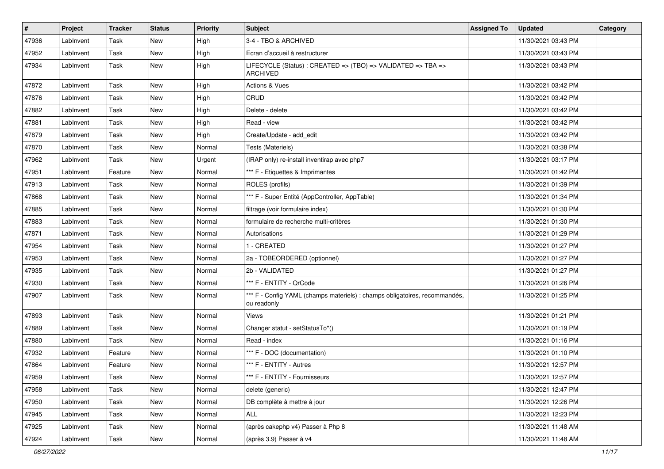| #     | Project   | <b>Tracker</b> | <b>Status</b> | <b>Priority</b> | Subject                                                                                   | <b>Assigned To</b> | <b>Updated</b>      | Category |
|-------|-----------|----------------|---------------|-----------------|-------------------------------------------------------------------------------------------|--------------------|---------------------|----------|
| 47936 | LabInvent | Task           | New           | High            | 3-4 - TBO & ARCHIVED                                                                      |                    | 11/30/2021 03:43 PM |          |
| 47952 | LabInvent | Task           | New           | High            | Ecran d'accueil à restructurer                                                            |                    | 11/30/2021 03:43 PM |          |
| 47934 | LabInvent | Task           | New           | High            | LIFECYCLE (Status): CREATED => (TBO) => VALIDATED => TBA =><br><b>ARCHIVED</b>            |                    | 11/30/2021 03:43 PM |          |
| 47872 | LabInvent | Task           | New           | High            | Actions & Vues                                                                            |                    | 11/30/2021 03:42 PM |          |
| 47876 | LabInvent | Task           | New           | High            | CRUD                                                                                      |                    | 11/30/2021 03:42 PM |          |
| 47882 | LabInvent | Task           | New           | High            | Delete - delete                                                                           |                    | 11/30/2021 03:42 PM |          |
| 47881 | LabInvent | Task           | New           | High            | Read - view                                                                               |                    | 11/30/2021 03:42 PM |          |
| 47879 | LabInvent | Task           | New           | High            | Create/Update - add edit                                                                  |                    | 11/30/2021 03:42 PM |          |
| 47870 | LabInvent | Task           | New           | Normal          | Tests (Materiels)                                                                         |                    | 11/30/2021 03:38 PM |          |
| 47962 | LabInvent | Task           | New           | Urgent          | (IRAP only) re-install inventirap avec php7                                               |                    | 11/30/2021 03:17 PM |          |
| 47951 | LabInvent | Feature        | New           | Normal          | *** F - Etiquettes & Imprimantes                                                          |                    | 11/30/2021 01:42 PM |          |
| 47913 | LabInvent | Task           | New           | Normal          | ROLES (profils)                                                                           |                    | 11/30/2021 01:39 PM |          |
| 47868 | LabInvent | Task           | New           | Normal          | *** F - Super Entité (AppController, AppTable)                                            |                    | 11/30/2021 01:34 PM |          |
| 47885 | LabInvent | Task           | New           | Normal          | filtrage (voir formulaire index)                                                          |                    | 11/30/2021 01:30 PM |          |
| 47883 | LabInvent | Task           | New           | Normal          | formulaire de recherche multi-critères                                                    |                    | 11/30/2021 01:30 PM |          |
| 47871 | LabInvent | Task           | New           | Normal          | Autorisations                                                                             |                    | 11/30/2021 01:29 PM |          |
| 47954 | LabInvent | Task           | New           | Normal          | 1 - CREATED                                                                               |                    | 11/30/2021 01:27 PM |          |
| 47953 | LabInvent | Task           | New           | Normal          | 2a - TOBEORDERED (optionnel)                                                              |                    | 11/30/2021 01:27 PM |          |
| 47935 | LabInvent | Task           | New           | Normal          | 2b - VALIDATED                                                                            |                    | 11/30/2021 01:27 PM |          |
| 47930 | LabInvent | Task           | New           | Normal          | *** F - ENTITY - QrCode                                                                   |                    | 11/30/2021 01:26 PM |          |
| 47907 | LabInvent | Task           | New           | Normal          | *** F - Config YAML (champs materiels) : champs obligatoires, recommandés,<br>ou readonly |                    | 11/30/2021 01:25 PM |          |
| 47893 | LabInvent | Task           | New           | Normal          | <b>Views</b>                                                                              |                    | 11/30/2021 01:21 PM |          |
| 47889 | LabInvent | Task           | New           | Normal          | Changer statut - setStatusTo*()                                                           |                    | 11/30/2021 01:19 PM |          |
| 47880 | LabInvent | Task           | New           | Normal          | Read - index                                                                              |                    | 11/30/2021 01:16 PM |          |
| 47932 | LabInvent | Feature        | New           | Normal          | *** F - DOC (documentation)                                                               |                    | 11/30/2021 01:10 PM |          |
| 47864 | LabInvent | Feature        | New           | Normal          | *** F - ENTITY - Autres                                                                   |                    | 11/30/2021 12:57 PM |          |
| 47959 | LabInvent | Task           | New           | Normal          | *** F - ENTITY - Fournisseurs                                                             |                    | 11/30/2021 12:57 PM |          |
| 47958 | LabInvent | Task           | New           | Normal          | delete (generic)                                                                          |                    | 11/30/2021 12:47 PM |          |
| 47950 | LabInvent | Task           | New           | Normal          | DB complète à mettre à jour                                                               |                    | 11/30/2021 12:26 PM |          |
| 47945 | LabInvent | Task           | New           | Normal          | ALL                                                                                       |                    | 11/30/2021 12:23 PM |          |
| 47925 | LabInvent | Task           | New           | Normal          | (après cakephp v4) Passer à Php 8                                                         |                    | 11/30/2021 11:48 AM |          |
| 47924 | LabInvent | Task           | New           | Normal          | (après 3.9) Passer à v4                                                                   |                    | 11/30/2021 11:48 AM |          |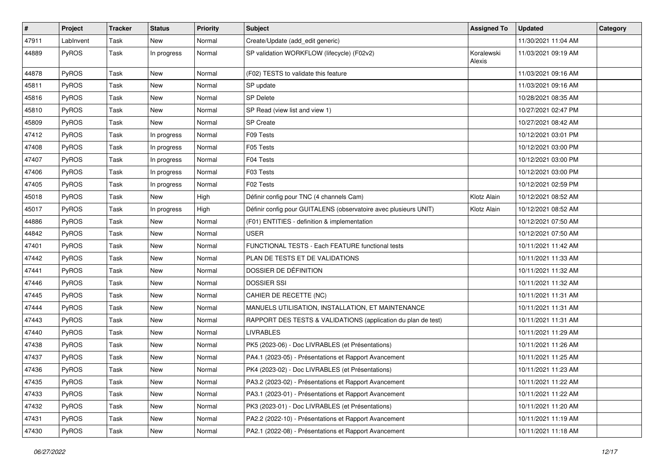| #     | Project   | <b>Tracker</b> | <b>Status</b> | <b>Priority</b> | Subject                                                          | <b>Assigned To</b>   | <b>Updated</b>      | Category |
|-------|-----------|----------------|---------------|-----------------|------------------------------------------------------------------|----------------------|---------------------|----------|
| 47911 | LabInvent | Task           | New           | Normal          | Create/Update (add_edit generic)                                 |                      | 11/30/2021 11:04 AM |          |
| 44889 | PyROS     | Task           | In progress   | Normal          | SP validation WORKFLOW (lifecycle) (F02v2)                       | Koralewski<br>Alexis | 11/03/2021 09:19 AM |          |
| 44878 | PyROS     | Task           | New           | Normal          | (F02) TESTS to validate this feature                             |                      | 11/03/2021 09:16 AM |          |
| 45811 | PyROS     | Task           | New           | Normal          | SP update                                                        |                      | 11/03/2021 09:16 AM |          |
| 45816 | PyROS     | Task           | New           | Normal          | SP Delete                                                        |                      | 10/28/2021 08:35 AM |          |
| 45810 | PyROS     | Task           | New           | Normal          | SP Read (view list and view 1)                                   |                      | 10/27/2021 02:47 PM |          |
| 45809 | PyROS     | Task           | New           | Normal          | <b>SP</b> Create                                                 |                      | 10/27/2021 08:42 AM |          |
| 47412 | PyROS     | Task           | In progress   | Normal          | F09 Tests                                                        |                      | 10/12/2021 03:01 PM |          |
| 47408 | PyROS     | Task           | In progress   | Normal          | F05 Tests                                                        |                      | 10/12/2021 03:00 PM |          |
| 47407 | PyROS     | Task           | In progress   | Normal          | F04 Tests                                                        |                      | 10/12/2021 03:00 PM |          |
| 47406 | PyROS     | Task           | In progress   | Normal          | F03 Tests                                                        |                      | 10/12/2021 03:00 PM |          |
| 47405 | PyROS     | Task           | In progress   | Normal          | F02 Tests                                                        |                      | 10/12/2021 02:59 PM |          |
| 45018 | PyROS     | Task           | New           | High            | Définir config pour TNC (4 channels Cam)                         | Klotz Alain          | 10/12/2021 08:52 AM |          |
| 45017 | PyROS     | Task           | In progress   | High            | Définir config pour GUITALENS (observatoire avec plusieurs UNIT) | Klotz Alain          | 10/12/2021 08:52 AM |          |
| 44886 | PyROS     | Task           | New           | Normal          | (F01) ENTITIES - definition & implementation                     |                      | 10/12/2021 07:50 AM |          |
| 44842 | PyROS     | Task           | New           | Normal          | <b>USER</b>                                                      |                      | 10/12/2021 07:50 AM |          |
| 47401 | PyROS     | Task           | New           | Normal          | FUNCTIONAL TESTS - Each FEATURE functional tests                 |                      | 10/11/2021 11:42 AM |          |
| 47442 | PyROS     | Task           | New           | Normal          | PLAN DE TESTS ET DE VALIDATIONS                                  |                      | 10/11/2021 11:33 AM |          |
| 47441 | PyROS     | Task           | New           | Normal          | DOSSIER DE DÉFINITION                                            |                      | 10/11/2021 11:32 AM |          |
| 47446 | PyROS     | Task           | New           | Normal          | <b>DOSSIER SSI</b>                                               |                      | 10/11/2021 11:32 AM |          |
| 47445 | PyROS     | Task           | New           | Normal          | CAHIER DE RECETTE (NC)                                           |                      | 10/11/2021 11:31 AM |          |
| 47444 | PyROS     | Task           | New           | Normal          | MANUELS UTILISATION, INSTALLATION, ET MAINTENANCE                |                      | 10/11/2021 11:31 AM |          |
| 47443 | PyROS     | Task           | New           | Normal          | RAPPORT DES TESTS & VALIDATIONS (application du plan de test)    |                      | 10/11/2021 11:31 AM |          |
| 47440 | PyROS     | Task           | New           | Normal          | <b>LIVRABLES</b>                                                 |                      | 10/11/2021 11:29 AM |          |
| 47438 | PyROS     | Task           | New           | Normal          | PK5 (2023-06) - Doc LIVRABLES (et Présentations)                 |                      | 10/11/2021 11:26 AM |          |
| 47437 | PyROS     | Task           | New           | Normal          | PA4.1 (2023-05) - Présentations et Rapport Avancement            |                      | 10/11/2021 11:25 AM |          |
| 47436 | PyROS     | Task           | New           | Normal          | PK4 (2023-02) - Doc LIVRABLES (et Présentations)                 |                      | 10/11/2021 11:23 AM |          |
| 47435 | PyROS     | Task           | New           | Normal          | PA3.2 (2023-02) - Présentations et Rapport Avancement            |                      | 10/11/2021 11:22 AM |          |
| 47433 | PyROS     | Task           | New           | Normal          | PA3.1 (2023-01) - Présentations et Rapport Avancement            |                      | 10/11/2021 11:22 AM |          |
| 47432 | PyROS     | Task           | New           | Normal          | PK3 (2023-01) - Doc LIVRABLES (et Présentations)                 |                      | 10/11/2021 11:20 AM |          |
| 47431 | PyROS     | Task           | New           | Normal          | PA2.2 (2022-10) - Présentations et Rapport Avancement            |                      | 10/11/2021 11:19 AM |          |
| 47430 | PyROS     | Task           | New           | Normal          | PA2.1 (2022-08) - Présentations et Rapport Avancement            |                      | 10/11/2021 11:18 AM |          |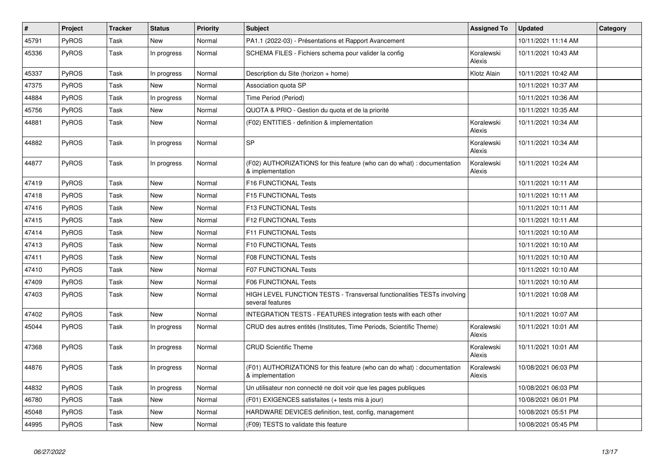| $\vert$ # | Project      | <b>Tracker</b> | <b>Status</b> | Priority | <b>Subject</b>                                                                              | <b>Assigned To</b>   | <b>Updated</b>      | Category |
|-----------|--------------|----------------|---------------|----------|---------------------------------------------------------------------------------------------|----------------------|---------------------|----------|
| 45791     | PyROS        | Task           | New           | Normal   | PA1.1 (2022-03) - Présentations et Rapport Avancement                                       |                      | 10/11/2021 11:14 AM |          |
| 45336     | <b>PyROS</b> | Task           | In progress   | Normal   | SCHEMA FILES - Fichiers schema pour valider la config                                       | Koralewski<br>Alexis | 10/11/2021 10:43 AM |          |
| 45337     | <b>PyROS</b> | Task           | In progress   | Normal   | Description du Site (horizon + home)                                                        | Klotz Alain          | 10/11/2021 10:42 AM |          |
| 47375     | <b>PyROS</b> | Task           | New           | Normal   | Association quota SP                                                                        |                      | 10/11/2021 10:37 AM |          |
| 44884     | PyROS        | Task           | In progress   | Normal   | Time Period (Period)                                                                        |                      | 10/11/2021 10:36 AM |          |
| 45756     | <b>PyROS</b> | Task           | New           | Normal   | QUOTA & PRIO - Gestion du quota et de la priorité                                           |                      | 10/11/2021 10:35 AM |          |
| 44881     | <b>PyROS</b> | Task           | New           | Normal   | (F02) ENTITIES - definition & implementation                                                | Koralewski<br>Alexis | 10/11/2021 10:34 AM |          |
| 44882     | PyROS        | Task           | In progress   | Normal   | <b>SP</b>                                                                                   | Koralewski<br>Alexis | 10/11/2021 10:34 AM |          |
| 44877     | <b>PyROS</b> | Task           | In progress   | Normal   | (F02) AUTHORIZATIONS for this feature (who can do what): documentation<br>& implementation  | Koralewski<br>Alexis | 10/11/2021 10:24 AM |          |
| 47419     | PyROS        | Task           | <b>New</b>    | Normal   | F16 FUNCTIONAL Tests                                                                        |                      | 10/11/2021 10:11 AM |          |
| 47418     | PyROS        | Task           | New           | Normal   | F15 FUNCTIONAL Tests                                                                        |                      | 10/11/2021 10:11 AM |          |
| 47416     | <b>PyROS</b> | Task           | New           | Normal   | <b>F13 FUNCTIONAL Tests</b>                                                                 |                      | 10/11/2021 10:11 AM |          |
| 47415     | <b>PyROS</b> | Task           | New           | Normal   | F12 FUNCTIONAL Tests                                                                        |                      | 10/11/2021 10:11 AM |          |
| 47414     | PyROS        | Task           | New           | Normal   | F11 FUNCTIONAL Tests                                                                        |                      | 10/11/2021 10:10 AM |          |
| 47413     | PyROS        | Task           | New           | Normal   | F10 FUNCTIONAL Tests                                                                        |                      | 10/11/2021 10:10 AM |          |
| 47411     | PyROS        | Task           | New           | Normal   | <b>F08 FUNCTIONAL Tests</b>                                                                 |                      | 10/11/2021 10:10 AM |          |
| 47410     | <b>PyROS</b> | Task           | New           | Normal   | <b>F07 FUNCTIONAL Tests</b>                                                                 |                      | 10/11/2021 10:10 AM |          |
| 47409     | PyROS        | Task           | New           | Normal   | <b>F06 FUNCTIONAL Tests</b>                                                                 |                      | 10/11/2021 10:10 AM |          |
| 47403     | PyROS        | Task           | New           | Normal   | HIGH LEVEL FUNCTION TESTS - Transversal functionalities TESTs involving<br>several features |                      | 10/11/2021 10:08 AM |          |
| 47402     | PyROS        | Task           | <b>New</b>    | Normal   | INTEGRATION TESTS - FEATURES integration tests with each other                              |                      | 10/11/2021 10:07 AM |          |
| 45044     | <b>PyROS</b> | Task           | In progress   | Normal   | CRUD des autres entités (Institutes, Time Periods, Scientific Theme)                        | Koralewski<br>Alexis | 10/11/2021 10:01 AM |          |
| 47368     | <b>PyROS</b> | Task           | In progress   | Normal   | <b>CRUD Scientific Theme</b>                                                                | Koralewski<br>Alexis | 10/11/2021 10:01 AM |          |
| 44876     | PyROS        | Task           | In progress   | Normal   | (F01) AUTHORIZATIONS for this feature (who can do what) : documentation<br>& implementation | Koralewski<br>Alexis | 10/08/2021 06:03 PM |          |
| 44832     | PyROS        | Task           | In progress   | Normal   | Un utilisateur non connecté ne doit voir que les pages publiques                            |                      | 10/08/2021 06:03 PM |          |
| 46780     | PyROS        | Task           | New           | Normal   | (F01) EXIGENCES satisfaites (+ tests mis à jour)                                            |                      | 10/08/2021 06:01 PM |          |
| 45048     | PyROS        | Task           | New           | Normal   | HARDWARE DEVICES definition, test, config, management                                       |                      | 10/08/2021 05:51 PM |          |
| 44995     | PyROS        | Task           | New           | Normal   | (F09) TESTS to validate this feature                                                        |                      | 10/08/2021 05:45 PM |          |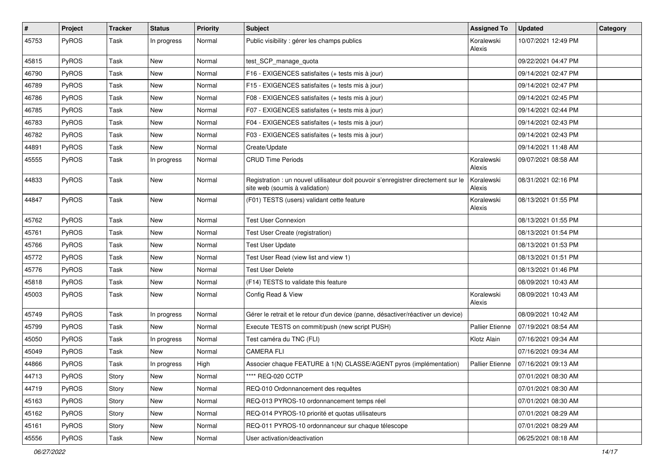| #     | Project      | <b>Tracker</b> | <b>Status</b> | <b>Priority</b> | <b>Subject</b>                                                                                                       | <b>Assigned To</b>     | <b>Updated</b>      | Category |
|-------|--------------|----------------|---------------|-----------------|----------------------------------------------------------------------------------------------------------------------|------------------------|---------------------|----------|
| 45753 | PyROS        | Task           | In progress   | Normal          | Public visibility : gérer les champs publics                                                                         | Koralewski<br>Alexis   | 10/07/2021 12:49 PM |          |
| 45815 | PyROS        | Task           | New           | Normal          | test_SCP_manage_quota                                                                                                |                        | 09/22/2021 04:47 PM |          |
| 46790 | PyROS        | Task           | New           | Normal          | F16 - EXIGENCES satisfaites (+ tests mis à jour)                                                                     |                        | 09/14/2021 02:47 PM |          |
| 46789 | PyROS        | Task           | New           | Normal          | F15 - EXIGENCES satisfaites (+ tests mis à jour)                                                                     |                        | 09/14/2021 02:47 PM |          |
| 46786 | PyROS        | Task           | New           | Normal          | F08 - EXIGENCES satisfaites (+ tests mis à jour)                                                                     |                        | 09/14/2021 02:45 PM |          |
| 46785 | PyROS        | Task           | New           | Normal          | F07 - EXIGENCES satisfaites (+ tests mis à jour)                                                                     |                        | 09/14/2021 02:44 PM |          |
| 46783 | <b>PyROS</b> | Task           | New           | Normal          | F04 - EXIGENCES satisfaites (+ tests mis à jour)                                                                     |                        | 09/14/2021 02:43 PM |          |
| 46782 | PyROS        | Task           | New           | Normal          | F03 - EXIGENCES satisfaites (+ tests mis à jour)                                                                     |                        | 09/14/2021 02:43 PM |          |
| 44891 | PyROS        | Task           | New           | Normal          | Create/Update                                                                                                        |                        | 09/14/2021 11:48 AM |          |
| 45555 | <b>PyROS</b> | Task           | In progress   | Normal          | <b>CRUD Time Periods</b>                                                                                             | Koralewski<br>Alexis   | 09/07/2021 08:58 AM |          |
| 44833 | PyROS        | Task           | New           | Normal          | Registration : un nouvel utilisateur doit pouvoir s'enregistrer directement sur le<br>site web (soumis à validation) | Koralewski<br>Alexis   | 08/31/2021 02:16 PM |          |
| 44847 | PyROS        | Task           | New           | Normal          | (F01) TESTS (users) validant cette feature                                                                           | Koralewski<br>Alexis   | 08/13/2021 01:55 PM |          |
| 45762 | PyROS        | Task           | New           | Normal          | <b>Test User Connexion</b>                                                                                           |                        | 08/13/2021 01:55 PM |          |
| 45761 | PyROS        | Task           | New           | Normal          | Test User Create (registration)                                                                                      |                        | 08/13/2021 01:54 PM |          |
| 45766 | <b>PyROS</b> | Task           | New           | Normal          | <b>Test User Update</b>                                                                                              |                        | 08/13/2021 01:53 PM |          |
| 45772 | PyROS        | Task           | New           | Normal          | Test User Read (view list and view 1)                                                                                |                        | 08/13/2021 01:51 PM |          |
| 45776 | PyROS        | Task           | New           | Normal          | <b>Test User Delete</b>                                                                                              |                        | 08/13/2021 01:46 PM |          |
| 45818 | PyROS        | Task           | New           | Normal          | (F14) TESTS to validate this feature                                                                                 |                        | 08/09/2021 10:43 AM |          |
| 45003 | PyROS        | Task           | New           | Normal          | Config Read & View                                                                                                   | Koralewski<br>Alexis   | 08/09/2021 10:43 AM |          |
| 45749 | PyROS        | Task           | In progress   | Normal          | Gérer le retrait et le retour d'un device (panne, désactiver/réactiver un device)                                    |                        | 08/09/2021 10:42 AM |          |
| 45799 | PyROS        | Task           | New           | Normal          | Execute TESTS on commit/push (new script PUSH)                                                                       | <b>Pallier Etienne</b> | 07/19/2021 08:54 AM |          |
| 45050 | PyROS        | Task           | In progress   | Normal          | Test caméra du TNC (FLI)                                                                                             | Klotz Alain            | 07/16/2021 09:34 AM |          |
| 45049 | PyROS        | Task           | New           | Normal          | <b>CAMERA FLI</b>                                                                                                    |                        | 07/16/2021 09:34 AM |          |
| 44866 | PyROS        | Task           | In progress   | High            | Associer chaque FEATURE à 1(N) CLASSE/AGENT pyros (implémentation)                                                   | <b>Pallier Etienne</b> | 07/16/2021 09:13 AM |          |
| 44713 | PyROS        | Story          | New           | Normal          | **** REQ-020 CCTP                                                                                                    |                        | 07/01/2021 08:30 AM |          |
| 44719 | PyROS        | Story          | New           | Normal          | REQ-010 Ordonnancement des requêtes                                                                                  |                        | 07/01/2021 08:30 AM |          |
| 45163 | PyROS        | Story          | New           | Normal          | REQ-013 PYROS-10 ordonnancement temps réel                                                                           |                        | 07/01/2021 08:30 AM |          |
| 45162 | PyROS        | Story          | New           | Normal          | REQ-014 PYROS-10 priorité et quotas utilisateurs                                                                     |                        | 07/01/2021 08:29 AM |          |
| 45161 | PyROS        | Story          | New           | Normal          | REQ-011 PYROS-10 ordonnanceur sur chaque télescope                                                                   |                        | 07/01/2021 08:29 AM |          |
| 45556 | PyROS        | Task           | New           | Normal          | User activation/deactivation                                                                                         |                        | 06/25/2021 08:18 AM |          |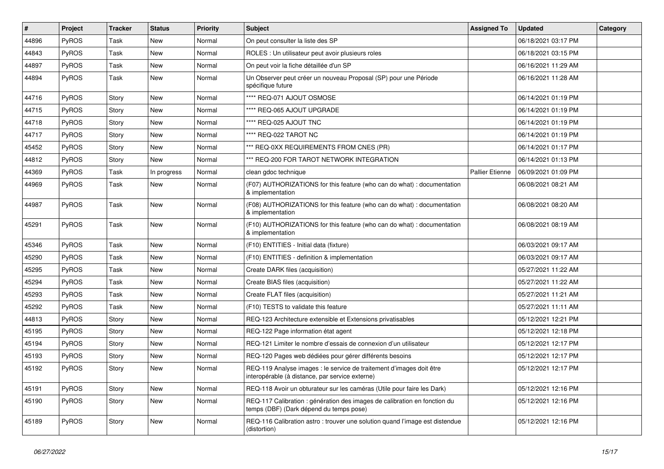| #     | Project | Tracker | <b>Status</b> | <b>Priority</b> | Subject                                                                                                                 | <b>Assigned To</b>     | <b>Updated</b>      | Category |
|-------|---------|---------|---------------|-----------------|-------------------------------------------------------------------------------------------------------------------------|------------------------|---------------------|----------|
| 44896 | PyROS   | Task    | New           | Normal          | On peut consulter la liste des SP                                                                                       |                        | 06/18/2021 03:17 PM |          |
| 44843 | PyROS   | Task    | New           | Normal          | ROLES : Un utilisateur peut avoir plusieurs roles                                                                       |                        | 06/18/2021 03:15 PM |          |
| 44897 | PyROS   | Task    | New           | Normal          | On peut voir la fiche détaillée d'un SP                                                                                 |                        | 06/16/2021 11:29 AM |          |
| 44894 | PyROS   | Task    | New           | Normal          | Un Observer peut créer un nouveau Proposal (SP) pour une Période<br>spécifique future                                   |                        | 06/16/2021 11:28 AM |          |
| 44716 | PyROS   | Story   | New           | Normal          | **** REQ-071 AJOUT OSMOSE                                                                                               |                        | 06/14/2021 01:19 PM |          |
| 44715 | PyROS   | Story   | New           | Normal          | **** REQ-065 AJOUT UPGRADE                                                                                              |                        | 06/14/2021 01:19 PM |          |
| 44718 | PyROS   | Story   | New           | Normal          | **** REQ-025 AJOUT TNC                                                                                                  |                        | 06/14/2021 01:19 PM |          |
| 44717 | PyROS   | Story   | New           | Normal          | **** REQ-022 TAROT NC                                                                                                   |                        | 06/14/2021 01:19 PM |          |
| 45452 | PyROS   | Story   | New           | Normal          | *** REQ-0XX REQUIREMENTS FROM CNES (PR)                                                                                 |                        | 06/14/2021 01:17 PM |          |
| 44812 | PyROS   | Story   | New           | Normal          | *** REQ-200 FOR TAROT NETWORK INTEGRATION                                                                               |                        | 06/14/2021 01:13 PM |          |
| 44369 | PyROS   | Task    | In progress   | Normal          | clean gdoc technique                                                                                                    | <b>Pallier Etienne</b> | 06/09/2021 01:09 PM |          |
| 44969 | PyROS   | Task    | New           | Normal          | (F07) AUTHORIZATIONS for this feature (who can do what) : documentation<br>& implementation                             |                        | 06/08/2021 08:21 AM |          |
| 44987 | PyROS   | Task    | <b>New</b>    | Normal          | (F08) AUTHORIZATIONS for this feature (who can do what) : documentation<br>& implementation                             |                        | 06/08/2021 08:20 AM |          |
| 45291 | PyROS   | Task    | <b>New</b>    | Normal          | (F10) AUTHORIZATIONS for this feature (who can do what) : documentation<br>& implementation                             |                        | 06/08/2021 08:19 AM |          |
| 45346 | PyROS   | Task    | New           | Normal          | (F10) ENTITIES - Initial data (fixture)                                                                                 |                        | 06/03/2021 09:17 AM |          |
| 45290 | PyROS   | Task    | New           | Normal          | (F10) ENTITIES - definition & implementation                                                                            |                        | 06/03/2021 09:17 AM |          |
| 45295 | PyROS   | Task    | New           | Normal          | Create DARK files (acquisition)                                                                                         |                        | 05/27/2021 11:22 AM |          |
| 45294 | PyROS   | Task    | New           | Normal          | Create BIAS files (acquisition)                                                                                         |                        | 05/27/2021 11:22 AM |          |
| 45293 | PyROS   | Task    | New           | Normal          | Create FLAT files (acquisition)                                                                                         |                        | 05/27/2021 11:21 AM |          |
| 45292 | PyROS   | Task    | New           | Normal          | (F10) TESTS to validate this feature                                                                                    |                        | 05/27/2021 11:11 AM |          |
| 44813 | PyROS   | Story   | New           | Normal          | REQ-123 Architecture extensible et Extensions privatisables                                                             |                        | 05/12/2021 12:21 PM |          |
| 45195 | PyROS   | Story   | <b>New</b>    | Normal          | REQ-122 Page information état agent                                                                                     |                        | 05/12/2021 12:18 PM |          |
| 45194 | PyROS   | Story   | New           | Normal          | REQ-121 Limiter le nombre d'essais de connexion d'un utilisateur                                                        |                        | 05/12/2021 12:17 PM |          |
| 45193 | PyROS   | Story   | <b>New</b>    | Normal          | REQ-120 Pages web dédiées pour gérer différents besoins                                                                 |                        | 05/12/2021 12:17 PM |          |
| 45192 | PyROS   | Story   | New           | Normal          | REQ-119 Analyse images : le service de traitement d'images doit être<br>interopérable (à distance, par service externe) |                        | 05/12/2021 12:17 PM |          |
| 45191 | PyROS   | Story   | New           | Normal          | REQ-118 Avoir un obturateur sur les caméras (Utile pour faire les Dark)                                                 |                        | 05/12/2021 12:16 PM |          |
| 45190 | PyROS   | Story   | New           | Normal          | REQ-117 Calibration : génération des images de calibration en fonction du<br>temps (DBF) (Dark dépend du temps pose)    |                        | 05/12/2021 12:16 PM |          |
| 45189 | PyROS   | Story   | New           | Normal          | REQ-116 Calibration astro: trouver une solution quand l'image est distendue<br>(distortion)                             |                        | 05/12/2021 12:16 PM |          |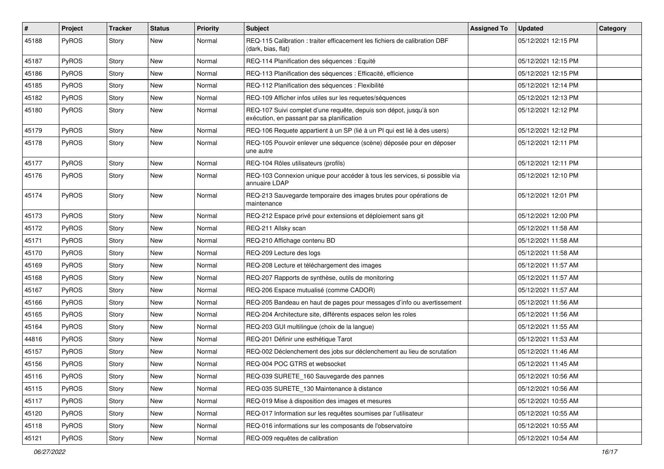| #     | Project      | <b>Tracker</b> | <b>Status</b> | <b>Priority</b> | Subject                                                                                                          | <b>Assigned To</b> | <b>Updated</b>      | Category |
|-------|--------------|----------------|---------------|-----------------|------------------------------------------------------------------------------------------------------------------|--------------------|---------------------|----------|
| 45188 | PyROS        | Story          | New           | Normal          | REQ-115 Calibration : traiter efficacement les fichiers de calibration DBF<br>(dark, bias, flat)                 |                    | 05/12/2021 12:15 PM |          |
| 45187 | PyROS        | Story          | New           | Normal          | REQ-114 Planification des séquences : Equité                                                                     |                    | 05/12/2021 12:15 PM |          |
| 45186 | PyROS        | Story          | New           | Normal          | REQ-113 Planification des séquences : Efficacité, efficience                                                     |                    | 05/12/2021 12:15 PM |          |
| 45185 | PyROS        | Story          | <b>New</b>    | Normal          | REQ-112 Planification des séquences : Flexibilité                                                                |                    | 05/12/2021 12:14 PM |          |
| 45182 | <b>PyROS</b> | Story          | New           | Normal          | REQ-109 Afficher infos utiles sur les requetes/séquences                                                         |                    | 05/12/2021 12:13 PM |          |
| 45180 | PyROS        | Story          | New           | Normal          | REQ-107 Suivi complet d'une requête, depuis son dépot, jusqu'à son<br>exécution, en passant par sa planification |                    | 05/12/2021 12:12 PM |          |
| 45179 | PyROS        | Story          | <b>New</b>    | Normal          | REQ-106 Requete appartient à un SP (lié à un PI qui est lié à des users)                                         |                    | 05/12/2021 12:12 PM |          |
| 45178 | PyROS        | Story          | New           | Normal          | REQ-105 Pouvoir enlever une séquence (scène) déposée pour en déposer<br>une autre                                |                    | 05/12/2021 12:11 PM |          |
| 45177 | PyROS        | Story          | <b>New</b>    | Normal          | REQ-104 Rôles utilisateurs (profils)                                                                             |                    | 05/12/2021 12:11 PM |          |
| 45176 | PyROS        | Story          | <b>New</b>    | Normal          | REQ-103 Connexion unique pour accéder à tous les services, si possible via<br>annuaire LDAP                      |                    | 05/12/2021 12:10 PM |          |
| 45174 | PyROS        | Story          | New           | Normal          | REQ-213 Sauvegarde temporaire des images brutes pour opérations de<br>maintenance                                |                    | 05/12/2021 12:01 PM |          |
| 45173 | PyROS        | Story          | <b>New</b>    | Normal          | REQ-212 Espace privé pour extensions et déploiement sans git                                                     |                    | 05/12/2021 12:00 PM |          |
| 45172 | PyROS        | Story          | New           | Normal          | REQ-211 Allsky scan                                                                                              |                    | 05/12/2021 11:58 AM |          |
| 45171 | <b>PyROS</b> | Story          | New           | Normal          | REQ-210 Affichage contenu BD                                                                                     |                    | 05/12/2021 11:58 AM |          |
| 45170 | PyROS        | Story          | New           | Normal          | REQ-209 Lecture des logs                                                                                         |                    | 05/12/2021 11:58 AM |          |
| 45169 | PyROS        | Story          | <b>New</b>    | Normal          | REQ-208 Lecture et téléchargement des images                                                                     |                    | 05/12/2021 11:57 AM |          |
| 45168 | PyROS        | Story          | New           | Normal          | REQ-207 Rapports de synthèse, outils de monitoring                                                               |                    | 05/12/2021 11:57 AM |          |
| 45167 | PyROS        | Story          | <b>New</b>    | Normal          | REQ-206 Espace mutualisé (comme CADOR)                                                                           |                    | 05/12/2021 11:57 AM |          |
| 45166 | <b>PyROS</b> | Story          | New           | Normal          | REQ-205 Bandeau en haut de pages pour messages d'info ou avertissement                                           |                    | 05/12/2021 11:56 AM |          |
| 45165 | PyROS        | Story          | New           | Normal          | REQ-204 Architecture site, différents espaces selon les roles                                                    |                    | 05/12/2021 11:56 AM |          |
| 45164 | PyROS        | Story          | <b>New</b>    | Normal          | REQ-203 GUI multilingue (choix de la langue)                                                                     |                    | 05/12/2021 11:55 AM |          |
| 44816 | <b>PyROS</b> | Story          | New           | Normal          | REQ-201 Définir une esthétique Tarot                                                                             |                    | 05/12/2021 11:53 AM |          |
| 45157 | PyROS        | Story          | New           | Normal          | REQ-002 Déclenchement des jobs sur déclenchement au lieu de scrutation                                           |                    | 05/12/2021 11:46 AM |          |
| 45156 | <b>PyROS</b> | Story          | New           | Normal          | REQ-004 POC GTRS et websocket                                                                                    |                    | 05/12/2021 11:45 AM |          |
| 45116 | PyROS        | Story          | New           | Normal          | REQ-039 SURETE_160 Sauvegarde des pannes                                                                         |                    | 05/12/2021 10:56 AM |          |
| 45115 | PyROS        | Story          | New           | Normal          | REQ-035 SURETE 130 Maintenance à distance                                                                        |                    | 05/12/2021 10:56 AM |          |
| 45117 | PyROS        | Story          | New           | Normal          | REQ-019 Mise à disposition des images et mesures                                                                 |                    | 05/12/2021 10:55 AM |          |
| 45120 | PyROS        | Story          | New           | Normal          | REQ-017 Information sur les requêtes soumises par l'utilisateur                                                  |                    | 05/12/2021 10:55 AM |          |
| 45118 | PyROS        | Story          | New           | Normal          | REQ-016 informations sur les composants de l'observatoire                                                        |                    | 05/12/2021 10:55 AM |          |
| 45121 | PyROS        | Story          | New           | Normal          | REQ-009 requêtes de calibration                                                                                  |                    | 05/12/2021 10:54 AM |          |